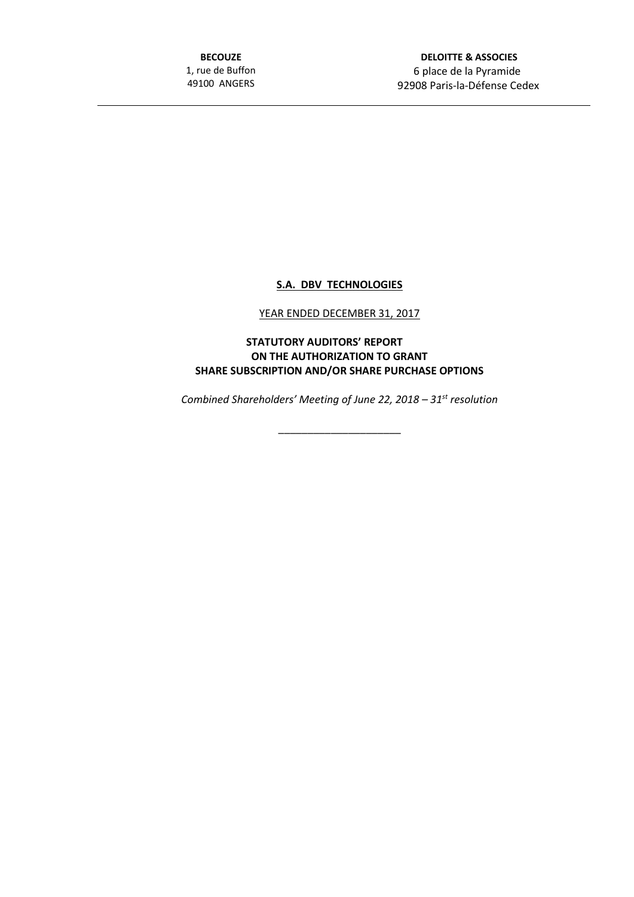**BECOUZE** 1, rue de Buffon 49100 ANGERS

 **DELOITTE & ASSOCIES** 6 place de la Pyramide 92908 Paris-la-Défense Cedex

## **S.A. DBV TECHNOLOGIES**

## YEAR ENDED DECEMBER 31, 2017

## **STATUTORY AUDITORS' REPORT ON THE AUTHORIZATION TO GRANT SHARE SUBSCRIPTION AND/OR SHARE PURCHASE OPTIONS**

*Combined Shareholders' Meeting of June 22, 2018 – 31st resolution*

\_\_\_\_\_\_\_\_\_\_\_\_\_\_\_\_\_\_\_\_\_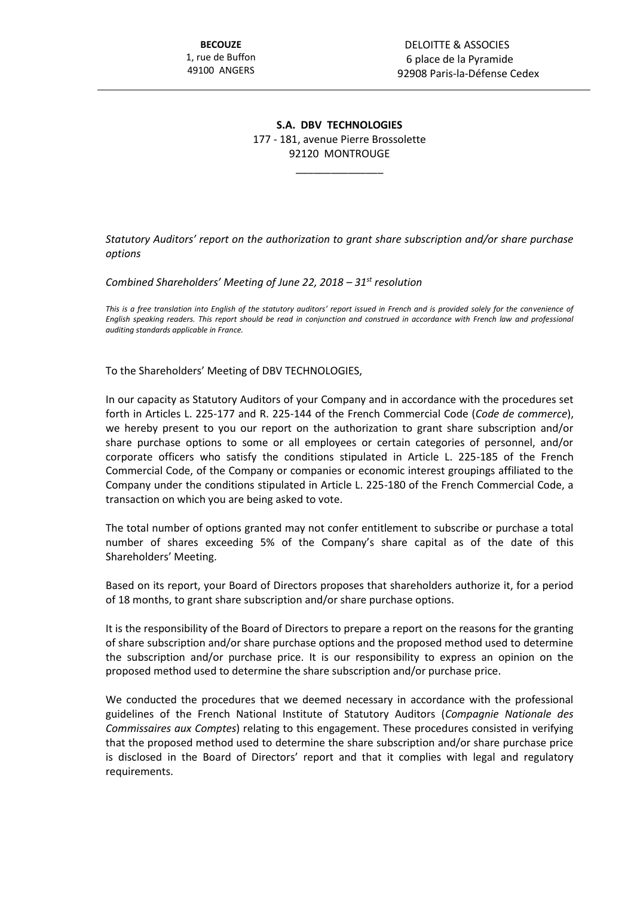## **S.A. DBV TECHNOLOGIES** 177 - 181, avenue Pierre Brossolette 92120 MONTROUGE

\_\_\_\_\_\_\_\_\_\_\_\_\_\_\_

*Statutory Auditors' report on the authorization to grant share subscription and/or share purchase options*

*Combined Shareholders' Meeting of June 22, 2018 – 31st resolution*

*This is a free translation into English of the statutory auditors' report issued in French and is provided solely for the convenience of English speaking readers. This report should be read in conjunction and construed in accordance with French law and professional auditing standards applicable in France.*

To the Shareholders' Meeting of DBV TECHNOLOGIES,

In our capacity as Statutory Auditors of your Company and in accordance with the procedures set forth in Articles L. 225-177 and R. 225-144 of the French Commercial Code (*Code de commerce*), we hereby present to you our report on the authorization to grant share subscription and/or share purchase options to some or all employees or certain categories of personnel, and/or corporate officers who satisfy the conditions stipulated in Article L. 225-185 of the French Commercial Code, of the Company or companies or economic interest groupings affiliated to the Company under the conditions stipulated in Article L. 225-180 of the French Commercial Code, a transaction on which you are being asked to vote.

The total number of options granted may not confer entitlement to subscribe or purchase a total number of shares exceeding 5% of the Company's share capital as of the date of this Shareholders' Meeting.

Based on its report, your Board of Directors proposes that shareholders authorize it, for a period of 18 months, to grant share subscription and/or share purchase options.

It is the responsibility of the Board of Directors to prepare a report on the reasons for the granting of share subscription and/or share purchase options and the proposed method used to determine the subscription and/or purchase price. It is our responsibility to express an opinion on the proposed method used to determine the share subscription and/or purchase price.

We conducted the procedures that we deemed necessary in accordance with the professional guidelines of the French National Institute of Statutory Auditors (*Compagnie Nationale des Commissaires aux Comptes*) relating to this engagement. These procedures consisted in verifying that the proposed method used to determine the share subscription and/or share purchase price is disclosed in the Board of Directors' report and that it complies with legal and regulatory requirements.